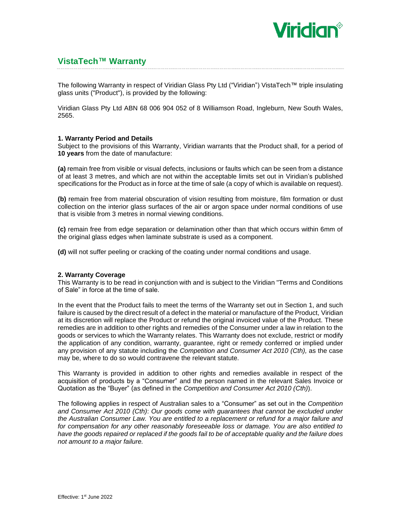

# **VistaTech™ Warranty**

The following Warranty in respect of Viridian Glass Pty Ltd ("Viridian") VistaTech™ triple insulating glass units ("Product"), is provided by the following:

Viridian Glass Pty Ltd ABN 68 006 904 052 of 8 Williamson Road, Ingleburn, New South Wales, 2565.

## **1. Warranty Period and Details**

Subject to the provisions of this Warranty, Viridian warrants that the Product shall, for a period of **10 years** from the date of manufacture:

**(a)** remain free from visible or visual defects, inclusions or faults which can be seen from a distance of at least 3 metres, and which are not within the acceptable limits set out in Viridian's published specifications for the Product as in force at the time of sale (a copy of which is available on request).

**(b)** remain free from material obscuration of vision resulting from moisture, film formation or dust collection on the interior glass surfaces of the air or argon space under normal conditions of use that is visible from 3 metres in normal viewing conditions.

**(c)** remain free from edge separation or delamination other than that which occurs within 6mm of the original glass edges when laminate substrate is used as a component.

**(d)** will not suffer peeling or cracking of the coating under normal conditions and usage.

## **2. Warranty Coverage**

This Warranty is to be read in conjunction with and is subject to the Viridian "Terms and Conditions of Sale" in force at the time of sale.

In the event that the Product fails to meet the terms of the Warranty set out in Section 1, and such failure is caused by the direct result of a defect in the material or manufacture of the Product, Viridian at its discretion will replace the Product or refund the original invoiced value of the Product. These remedies are in addition to other rights and remedies of the Consumer under a law in relation to the goods or services to which the Warranty relates. This Warranty does not exclude, restrict or modify the application of any condition, warranty, guarantee, right or remedy conferred or implied under any provision of any statute including the *Competition and Consumer Act 2010 (Cth),* as the case may be, where to do so would contravene the relevant statute.

This Warranty is provided in addition to other rights and remedies available in respect of the acquisition of products by a "Consumer" and the person named in the relevant Sales Invoice or Quotation as the "Buyer" (as defined in the *Competition and Consumer Act 2010 (Cth)*).

The following applies in respect of Australian sales to a "Consumer" as set out in the *Competition and Consumer Act 2010 (Cth)*: *Our goods come with guarantees that cannot be excluded under the Australian Consumer Law. You are entitled to a replacement or refund for a major failure and for compensation for any other reasonably foreseeable loss or damage. You are also entitled to have the goods repaired or replaced if the goods fail to be of acceptable quality and the failure does not amount to a major failure.*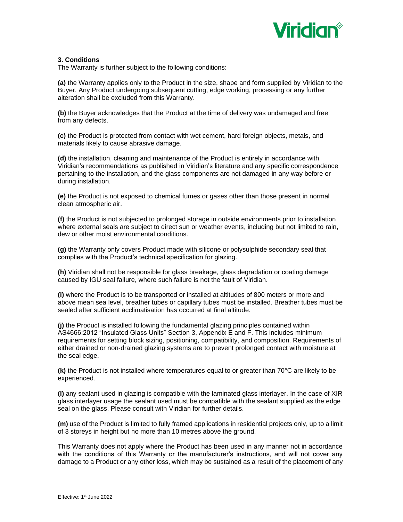

## **3. Conditions**

The Warranty is further subject to the following conditions:

**(a)** the Warranty applies only to the Product in the size, shape and form supplied by Viridian to the Buyer. Any Product undergoing subsequent cutting, edge working, processing or any further alteration shall be excluded from this Warranty.

**(b)** the Buyer acknowledges that the Product at the time of delivery was undamaged and free from any defects.

**(c)** the Product is protected from contact with wet cement, hard foreign objects, metals, and materials likely to cause abrasive damage.

**(d)** the installation, cleaning and maintenance of the Product is entirely in accordance with Viridian's recommendations as published in Viridian's literature and any specific correspondence pertaining to the installation, and the glass components are not damaged in any way before or during installation.

**(e)** the Product is not exposed to chemical fumes or gases other than those present in normal clean atmospheric air.

**(f)** the Product is not subjected to prolonged storage in outside environments prior to installation where external seals are subject to direct sun or weather events, including but not limited to rain, dew or other moist environmental conditions.

**(g)** the Warranty only covers Product made with silicone or polysulphide secondary seal that complies with the Product's technical specification for glazing.

**(h)** Viridian shall not be responsible for glass breakage, glass degradation or coating damage caused by IGU seal failure, where such failure is not the fault of Viridian.

**(i)** where the Product is to be transported or installed at altitudes of 800 meters or more and above mean sea level, breather tubes or capillary tubes must be installed. Breather tubes must be sealed after sufficient acclimatisation has occurred at final altitude.

**(j)** the Product is installed following the fundamental glazing principles contained within AS4666:2012 "Insulated Glass Units" Section 3, Appendix E and F. This includes minimum requirements for setting block sizing, positioning, compatibility, and composition. Requirements of either drained or non-drained glazing systems are to prevent prolonged contact with moisture at the seal edge.

**(k)** the Product is not installed where temperatures equal to or greater than 70°C are likely to be experienced.

**(l)** any sealant used in glazing is compatible with the laminated glass interlayer. In the case of XIR glass interlayer usage the sealant used must be compatible with the sealant supplied as the edge seal on the glass. Please consult with Viridian for further details.

**(m)** use of the Product is limited to fully framed applications in residential projects only, up to a limit of 3 storeys in height but no more than 10 metres above the ground.

This Warranty does not apply where the Product has been used in any manner not in accordance with the conditions of this Warranty or the manufacturer's instructions, and will not cover any damage to a Product or any other loss, which may be sustained as a result of the placement of any